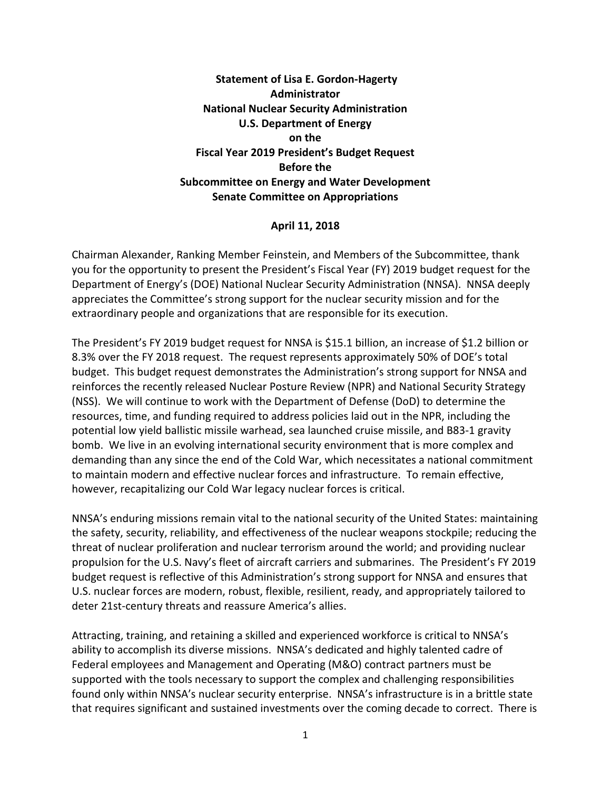**Statement of Lisa E. Gordon-Hagerty Administrator National Nuclear Security Administration U.S. Department of Energy on the Fiscal Year 2019 President's Budget Request Before the Subcommittee on Energy and Water Development Senate Committee on Appropriations**

#### **April 11, 2018**

Chairman Alexander, Ranking Member Feinstein, and Members of the Subcommittee, thank you for the opportunity to present the President's Fiscal Year (FY) 2019 budget request for the Department of Energy's (DOE) National Nuclear Security Administration (NNSA). NNSA deeply appreciates the Committee's strong support for the nuclear security mission and for the extraordinary people and organizations that are responsible for its execution.

The President's FY 2019 budget request for NNSA is \$15.1 billion, an increase of \$1.2 billion or 8.3% over the FY 2018 request. The request represents approximately 50% of DOE's total budget. This budget request demonstrates the Administration's strong support for NNSA and reinforces the recently released Nuclear Posture Review (NPR) and National Security Strategy (NSS). We will continue to work with the Department of Defense (DoD) to determine the resources, time, and funding required to address policies laid out in the NPR, including the potential low yield ballistic missile warhead, sea launched cruise missile, and B83-1 gravity bomb. We live in an evolving international security environment that is more complex and demanding than any since the end of the Cold War, which necessitates a national commitment to maintain modern and effective nuclear forces and infrastructure. To remain effective, however, recapitalizing our Cold War legacy nuclear forces is critical.

NNSA's enduring missions remain vital to the national security of the United States: maintaining the safety, security, reliability, and effectiveness of the nuclear weapons stockpile; reducing the threat of nuclear proliferation and nuclear terrorism around the world; and providing nuclear propulsion for the U.S. Navy's fleet of aircraft carriers and submarines. The President's FY 2019 budget request is reflective of this Administration's strong support for NNSA and ensures that U.S. nuclear forces are modern, robust, flexible, resilient, ready, and appropriately tailored to deter 21st-century threats and reassure America's allies.

Attracting, training, and retaining a skilled and experienced workforce is critical to NNSA's ability to accomplish its diverse missions. NNSA's dedicated and highly talented cadre of Federal employees and Management and Operating (M&O) contract partners must be supported with the tools necessary to support the complex and challenging responsibilities found only within NNSA's nuclear security enterprise. NNSA's infrastructure is in a brittle state that requires significant and sustained investments over the coming decade to correct. There is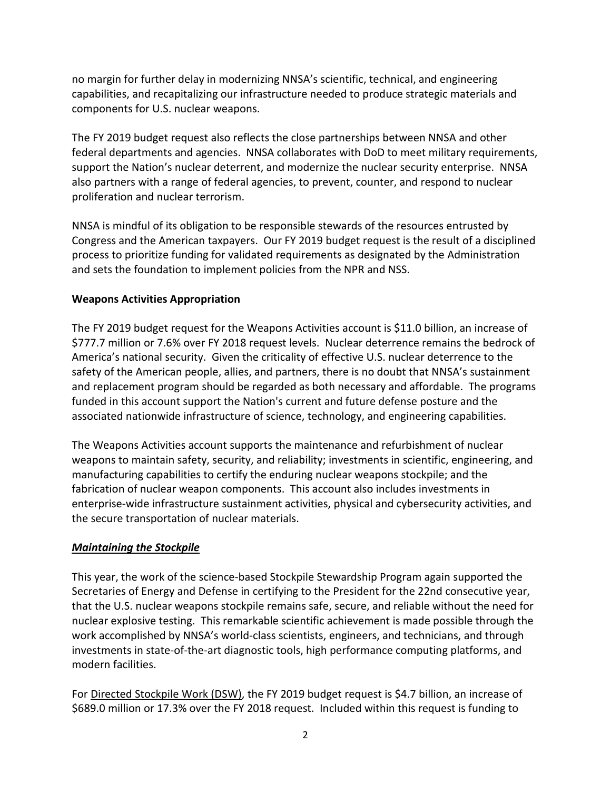no margin for further delay in modernizing NNSA's scientific, technical, and engineering capabilities, and recapitalizing our infrastructure needed to produce strategic materials and components for U.S. nuclear weapons.

The FY 2019 budget request also reflects the close partnerships between NNSA and other federal departments and agencies. NNSA collaborates with DoD to meet military requirements, support the Nation's nuclear deterrent, and modernize the nuclear security enterprise. NNSA also partners with a range of federal agencies, to prevent, counter, and respond to nuclear proliferation and nuclear terrorism.

NNSA is mindful of its obligation to be responsible stewards of the resources entrusted by Congress and the American taxpayers. Our FY 2019 budget request is the result of a disciplined process to prioritize funding for validated requirements as designated by the Administration and sets the foundation to implement policies from the NPR and NSS.

## **Weapons Activities Appropriation**

The FY 2019 budget request for the Weapons Activities account is \$11.0 billion, an increase of \$777.7 million or 7.6% over FY 2018 request levels. Nuclear deterrence remains the bedrock of America's national security. Given the criticality of effective U.S. nuclear deterrence to the safety of the American people, allies, and partners, there is no doubt that NNSA's sustainment and replacement program should be regarded as both necessary and affordable. The programs funded in this account support the Nation's current and future defense posture and the associated nationwide infrastructure of science, technology, and engineering capabilities.

The Weapons Activities account supports the maintenance and refurbishment of nuclear weapons to maintain safety, security, and reliability; investments in scientific, engineering, and manufacturing capabilities to certify the enduring nuclear weapons stockpile; and the fabrication of nuclear weapon components. This account also includes investments in enterprise-wide infrastructure sustainment activities, physical and cybersecurity activities, and the secure transportation of nuclear materials.

## *Maintaining the Stockpile*

This year, the work of the science-based Stockpile Stewardship Program again supported the Secretaries of Energy and Defense in certifying to the President for the 22nd consecutive year, that the U.S. nuclear weapons stockpile remains safe, secure, and reliable without the need for nuclear explosive testing. This remarkable scientific achievement is made possible through the work accomplished by NNSA's world-class scientists, engineers, and technicians, and through investments in state-of-the-art diagnostic tools, high performance computing platforms, and modern facilities.

For Directed Stockpile Work (DSW), the FY 2019 budget request is \$4.7 billion, an increase of \$689.0 million or 17.3% over the FY 2018 request. Included within this request is funding to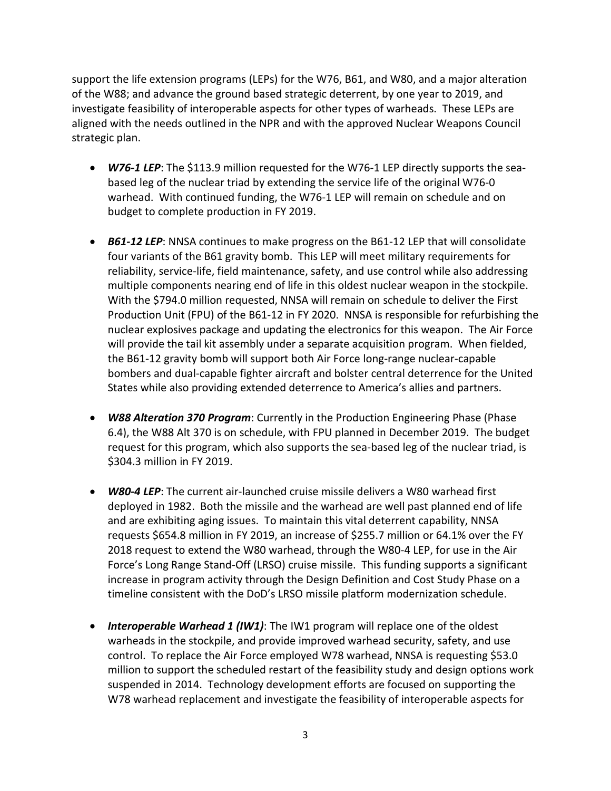support the life extension programs (LEPs) for the W76, B61, and W80, and a major alteration of the W88; and advance the ground based strategic deterrent, by one year to 2019, and investigate feasibility of interoperable aspects for other types of warheads. These LEPs are aligned with the needs outlined in the NPR and with the approved Nuclear Weapons Council strategic plan.

- *W76-1 LEP*: The \$113.9 million requested for the W76-1 LEP directly supports the seabased leg of the nuclear triad by extending the service life of the original W76-0 warhead. With continued funding, the W76-1 LEP will remain on schedule and on budget to complete production in FY 2019.
- *B61-12 LEP*: NNSA continues to make progress on the B61-12 LEP that will consolidate four variants of the B61 gravity bomb. This LEP will meet military requirements for reliability, service-life, field maintenance, safety, and use control while also addressing multiple components nearing end of life in this oldest nuclear weapon in the stockpile. With the \$794.0 million requested, NNSA will remain on schedule to deliver the First Production Unit (FPU) of the B61-12 in FY 2020. NNSA is responsible for refurbishing the nuclear explosives package and updating the electronics for this weapon. The Air Force will provide the tail kit assembly under a separate acquisition program. When fielded, the B61-12 gravity bomb will support both Air Force long-range nuclear-capable bombers and dual-capable fighter aircraft and bolster central deterrence for the United States while also providing extended deterrence to America's allies and partners.
- *W88 Alteration 370 Program*: Currently in the Production Engineering Phase (Phase 6.4), the W88 Alt 370 is on schedule, with FPU planned in December 2019. The budget request for this program, which also supports the sea-based leg of the nuclear triad, is \$304.3 million in FY 2019.
- *W80-4 LEP*: The current air-launched cruise missile delivers a W80 warhead first deployed in 1982. Both the missile and the warhead are well past planned end of life and are exhibiting aging issues. To maintain this vital deterrent capability, NNSA requests \$654.8 million in FY 2019, an increase of \$255.7 million or 64.1% over the FY 2018 request to extend the W80 warhead, through the W80-4 LEP, for use in the Air Force's Long Range Stand-Off (LRSO) cruise missile. This funding supports a significant increase in program activity through the Design Definition and Cost Study Phase on a timeline consistent with the DoD's LRSO missile platform modernization schedule.
- *Interoperable Warhead 1 (IW1)*: The IW1 program will replace one of the oldest warheads in the stockpile, and provide improved warhead security, safety, and use control. To replace the Air Force employed W78 warhead, NNSA is requesting \$53.0 million to support the scheduled restart of the feasibility study and design options work suspended in 2014. Technology development efforts are focused on supporting the W78 warhead replacement and investigate the feasibility of interoperable aspects for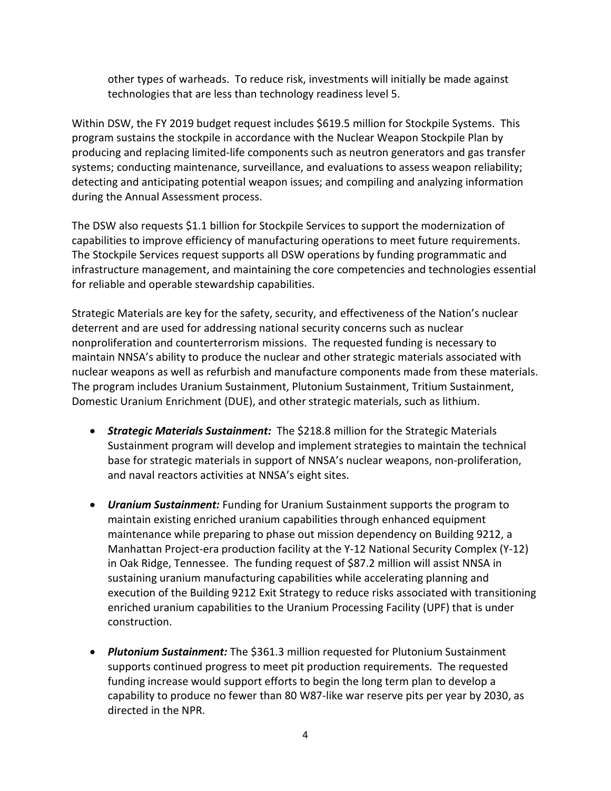other types of warheads. To reduce risk, investments will initially be made against technologies that are less than technology readiness level 5.

Within DSW, the FY 2019 budget request includes \$619.5 million for Stockpile Systems. This program sustains the stockpile in accordance with the Nuclear Weapon Stockpile Plan by producing and replacing limited-life components such as neutron generators and gas transfer systems; conducting maintenance, surveillance, and evaluations to assess weapon reliability; detecting and anticipating potential weapon issues; and compiling and analyzing information during the Annual Assessment process.

The DSW also requests \$1.1 billion for Stockpile Services to support the modernization of capabilities to improve efficiency of manufacturing operations to meet future requirements. The Stockpile Services request supports all DSW operations by funding programmatic and infrastructure management, and maintaining the core competencies and technologies essential for reliable and operable stewardship capabilities.

Strategic Materials are key for the safety, security, and effectiveness of the Nation's nuclear deterrent and are used for addressing national security concerns such as nuclear nonproliferation and counterterrorism missions. The requested funding is necessary to maintain NNSA's ability to produce the nuclear and other strategic materials associated with nuclear weapons as well as refurbish and manufacture components made from these materials. The program includes Uranium Sustainment, Plutonium Sustainment, Tritium Sustainment, Domestic Uranium Enrichment (DUE), and other strategic materials, such as lithium.

- *Strategic Materials Sustainment:* The \$218.8 million for the Strategic Materials Sustainment program will develop and implement strategies to maintain the technical base for strategic materials in support of NNSA's nuclear weapons, non-proliferation, and naval reactors activities at NNSA's eight sites.
- *Uranium Sustainment:* Funding for Uranium Sustainment supports the program to maintain existing enriched uranium capabilities through enhanced equipment maintenance while preparing to phase out mission dependency on Building 9212, a Manhattan Project-era production facility at the Y-12 National Security Complex (Y-12) in Oak Ridge, Tennessee. The funding request of \$87.2 million will assist NNSA in sustaining uranium manufacturing capabilities while accelerating planning and execution of the Building 9212 Exit Strategy to reduce risks associated with transitioning enriched uranium capabilities to the Uranium Processing Facility (UPF) that is under construction.
- *Plutonium Sustainment:* The \$361.3 million requested for Plutonium Sustainment supports continued progress to meet pit production requirements. The requested funding increase would support efforts to begin the long term plan to develop a capability to produce no fewer than 80 W87-like war reserve pits per year by 2030, as directed in the NPR.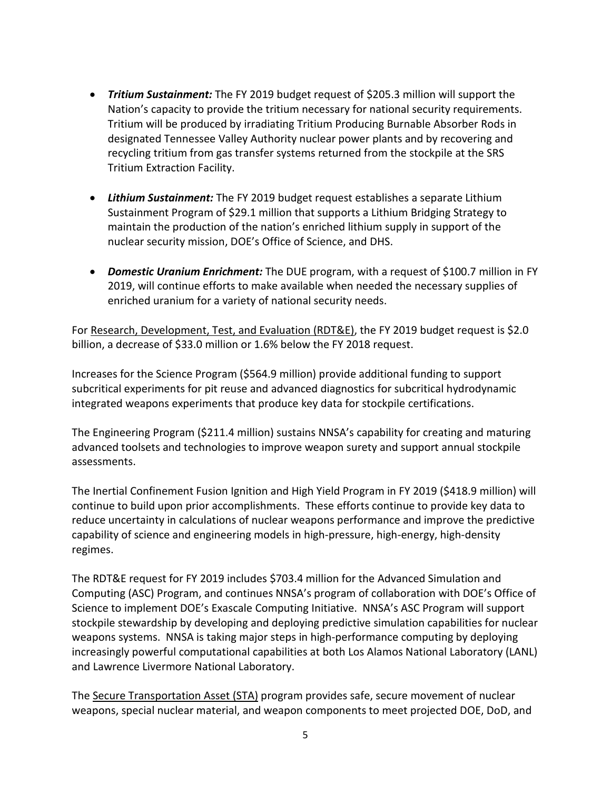- *Tritium Sustainment:* The FY 2019 budget request of \$205.3 million will support the Nation's capacity to provide the tritium necessary for national security requirements. Tritium will be produced by irradiating Tritium Producing Burnable Absorber Rods in designated Tennessee Valley Authority nuclear power plants and by recovering and recycling tritium from gas transfer systems returned from the stockpile at the SRS Tritium Extraction Facility.
- *Lithium Sustainment:* The FY 2019 budget request establishes a separate Lithium Sustainment Program of \$29.1 million that supports a Lithium Bridging Strategy to maintain the production of the nation's enriched lithium supply in support of the nuclear security mission, DOE's Office of Science, and DHS.
- *Domestic Uranium Enrichment:* The DUE program, with a request of \$100.7 million in FY 2019, will continue efforts to make available when needed the necessary supplies of enriched uranium for a variety of national security needs.

For Research, Development, Test, and Evaluation (RDT&E), the FY 2019 budget request is \$2.0 billion, a decrease of \$33.0 million or 1.6% below the FY 2018 request.

Increases for the Science Program (\$564.9 million) provide additional funding to support subcritical experiments for pit reuse and advanced diagnostics for subcritical hydrodynamic integrated weapons experiments that produce key data for stockpile certifications.

The Engineering Program (\$211.4 million) sustains NNSA's capability for creating and maturing advanced toolsets and technologies to improve weapon surety and support annual stockpile assessments.

The Inertial Confinement Fusion Ignition and High Yield Program in FY 2019 (\$418.9 million) will continue to build upon prior accomplishments. These efforts continue to provide key data to reduce uncertainty in calculations of nuclear weapons performance and improve the predictive capability of science and engineering models in high-pressure, high-energy, high-density regimes.

The RDT&E request for FY 2019 includes \$703.4 million for the Advanced Simulation and Computing (ASC) Program, and continues NNSA's program of collaboration with DOE's Office of Science to implement DOE's Exascale Computing Initiative. NNSA's ASC Program will support stockpile stewardship by developing and deploying predictive simulation capabilities for nuclear weapons systems. NNSA is taking major steps in high-performance computing by deploying increasingly powerful computational capabilities at both Los Alamos National Laboratory (LANL) and Lawrence Livermore National Laboratory.

The Secure Transportation Asset (STA) program provides safe, secure movement of nuclear weapons, special nuclear material, and weapon components to meet projected DOE, DoD, and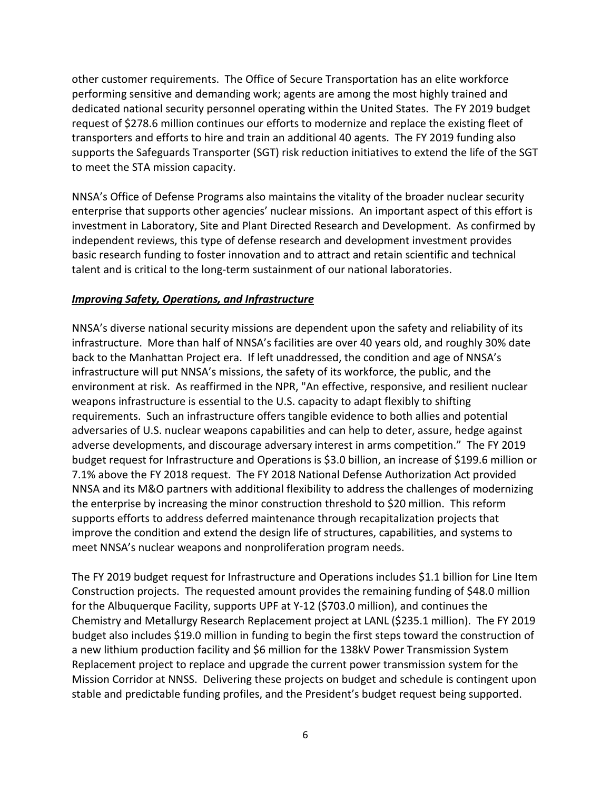other customer requirements. The Office of Secure Transportation has an elite workforce performing sensitive and demanding work; agents are among the most highly trained and dedicated national security personnel operating within the United States. The FY 2019 budget request of \$278.6 million continues our efforts to modernize and replace the existing fleet of transporters and efforts to hire and train an additional 40 agents. The FY 2019 funding also supports the Safeguards Transporter (SGT) risk reduction initiatives to extend the life of the SGT to meet the STA mission capacity.

NNSA's Office of Defense Programs also maintains the vitality of the broader nuclear security enterprise that supports other agencies' nuclear missions. An important aspect of this effort is investment in Laboratory, Site and Plant Directed Research and Development. As confirmed by independent reviews, this type of defense research and development investment provides basic research funding to foster innovation and to attract and retain scientific and technical talent and is critical to the long-term sustainment of our national laboratories.

## *Improving Safety, Operations, and Infrastructure*

NNSA's diverse national security missions are dependent upon the safety and reliability of its infrastructure. More than half of NNSA's facilities are over 40 years old, and roughly 30% date back to the Manhattan Project era. If left unaddressed, the condition and age of NNSA's infrastructure will put NNSA's missions, the safety of its workforce, the public, and the environment at risk. As reaffirmed in the NPR, "An effective, responsive, and resilient nuclear weapons infrastructure is essential to the U.S. capacity to adapt flexibly to shifting requirements. Such an infrastructure offers tangible evidence to both allies and potential adversaries of U.S. nuclear weapons capabilities and can help to deter, assure, hedge against adverse developments, and discourage adversary interest in arms competition." The FY 2019 budget request for Infrastructure and Operations is \$3.0 billion, an increase of \$199.6 million or 7.1% above the FY 2018 request. The FY 2018 National Defense Authorization Act provided NNSA and its M&O partners with additional flexibility to address the challenges of modernizing the enterprise by increasing the minor construction threshold to \$20 million. This reform supports efforts to address deferred maintenance through recapitalization projects that improve the condition and extend the design life of structures, capabilities, and systems to meet NNSA's nuclear weapons and nonproliferation program needs.

The FY 2019 budget request for Infrastructure and Operations includes \$1.1 billion for Line Item Construction projects. The requested amount provides the remaining funding of \$48.0 million for the Albuquerque Facility, supports UPF at Y-12 (\$703.0 million), and continues the Chemistry and Metallurgy Research Replacement project at LANL (\$235.1 million). The FY 2019 budget also includes \$19.0 million in funding to begin the first steps toward the construction of a new lithium production facility and \$6 million for the 138kV Power Transmission System Replacement project to replace and upgrade the current power transmission system for the Mission Corridor at NNSS. Delivering these projects on budget and schedule is contingent upon stable and predictable funding profiles, and the President's budget request being supported.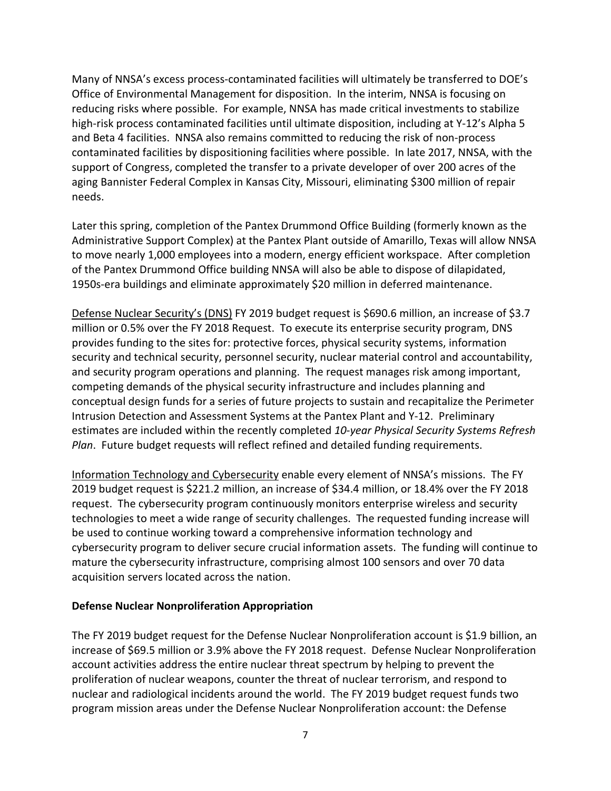Many of NNSA's excess process-contaminated facilities will ultimately be transferred to DOE's Office of Environmental Management for disposition. In the interim, NNSA is focusing on reducing risks where possible. For example, NNSA has made critical investments to stabilize high-risk process contaminated facilities until ultimate disposition, including at Y-12's Alpha 5 and Beta 4 facilities. NNSA also remains committed to reducing the risk of non-process contaminated facilities by dispositioning facilities where possible. In late 2017, NNSA, with the support of Congress, completed the transfer to a private developer of over 200 acres of the aging Bannister Federal Complex in Kansas City, Missouri, eliminating \$300 million of repair needs.

Later this spring, completion of the Pantex Drummond Office Building (formerly known as the Administrative Support Complex) at the Pantex Plant outside of Amarillo, Texas will allow NNSA to move nearly 1,000 employees into a modern, energy efficient workspace. After completion of the Pantex Drummond Office building NNSA will also be able to dispose of dilapidated, 1950s-era buildings and eliminate approximately \$20 million in deferred maintenance.

Defense Nuclear Security's (DNS) FY 2019 budget request is \$690.6 million, an increase of \$3.7 million or 0.5% over the FY 2018 Request. To execute its enterprise security program, DNS provides funding to the sites for: protective forces, physical security systems, information security and technical security, personnel security, nuclear material control and accountability, and security program operations and planning. The request manages risk among important, competing demands of the physical security infrastructure and includes planning and conceptual design funds for a series of future projects to sustain and recapitalize the Perimeter Intrusion Detection and Assessment Systems at the Pantex Plant and Y-12. Preliminary estimates are included within the recently completed *10-year Physical Security Systems Refresh Plan*. Future budget requests will reflect refined and detailed funding requirements.

Information Technology and Cybersecurity enable every element of NNSA's missions. The FY 2019 budget request is \$221.2 million, an increase of \$34.4 million, or 18.4% over the FY 2018 request. The cybersecurity program continuously monitors enterprise wireless and security technologies to meet a wide range of security challenges. The requested funding increase will be used to continue working toward a comprehensive information technology and cybersecurity program to deliver secure crucial information assets. The funding will continue to mature the cybersecurity infrastructure, comprising almost 100 sensors and over 70 data acquisition servers located across the nation.

#### **Defense Nuclear Nonproliferation Appropriation**

The FY 2019 budget request for the Defense Nuclear Nonproliferation account is \$1.9 billion, an increase of \$69.5 million or 3.9% above the FY 2018 request. Defense Nuclear Nonproliferation account activities address the entire nuclear threat spectrum by helping to prevent the proliferation of nuclear weapons, counter the threat of nuclear terrorism, and respond to nuclear and radiological incidents around the world. The FY 2019 budget request funds two program mission areas under the Defense Nuclear Nonproliferation account: the Defense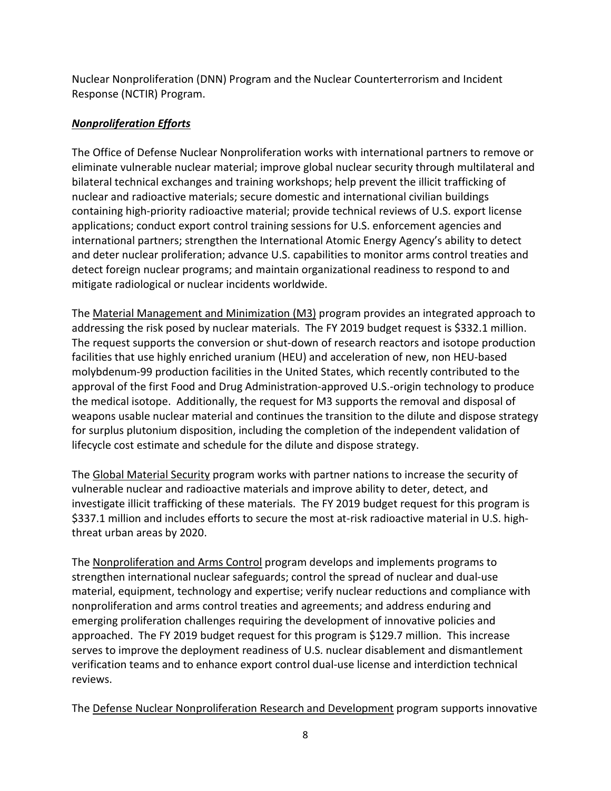Nuclear Nonproliferation (DNN) Program and the Nuclear Counterterrorism and Incident Response (NCTIR) Program.

# *Nonproliferation Efforts*

The Office of Defense Nuclear Nonproliferation works with international partners to remove or eliminate vulnerable nuclear material; improve global nuclear security through multilateral and bilateral technical exchanges and training workshops; help prevent the illicit trafficking of nuclear and radioactive materials; secure domestic and international civilian buildings containing high-priority radioactive material; provide technical reviews of U.S. export license applications; conduct export control training sessions for U.S. enforcement agencies and international partners; strengthen the International Atomic Energy Agency's ability to detect and deter nuclear proliferation; advance U.S. capabilities to monitor arms control treaties and detect foreign nuclear programs; and maintain organizational readiness to respond to and mitigate radiological or nuclear incidents worldwide.

The Material Management and Minimization (M3) program provides an integrated approach to addressing the risk posed by nuclear materials. The FY 2019 budget request is \$332.1 million. The request supports the conversion or shut-down of research reactors and isotope production facilities that use highly enriched uranium (HEU) and acceleration of new, non HEU-based molybdenum-99 production facilities in the United States, which recently contributed to the approval of the first Food and Drug Administration-approved U.S.-origin technology to produce the medical isotope. Additionally, the request for M3 supports the removal and disposal of weapons usable nuclear material and continues the transition to the dilute and dispose strategy for surplus plutonium disposition, including the completion of the independent validation of lifecycle cost estimate and schedule for the dilute and dispose strategy.

The Global Material Security program works with partner nations to increase the security of vulnerable nuclear and radioactive materials and improve ability to deter, detect, and investigate illicit trafficking of these materials. The FY 2019 budget request for this program is \$337.1 million and includes efforts to secure the most at-risk radioactive material in U.S. highthreat urban areas by 2020.

The Nonproliferation and Arms Control program develops and implements programs to strengthen international nuclear safeguards; control the spread of nuclear and dual-use material, equipment, technology and expertise; verify nuclear reductions and compliance with nonproliferation and arms control treaties and agreements; and address enduring and emerging proliferation challenges requiring the development of innovative policies and approached. The FY 2019 budget request for this program is \$129.7 million. This increase serves to improve the deployment readiness of U.S. nuclear disablement and dismantlement verification teams and to enhance export control dual-use license and interdiction technical reviews.

The Defense Nuclear Nonproliferation Research and Development program supports innovative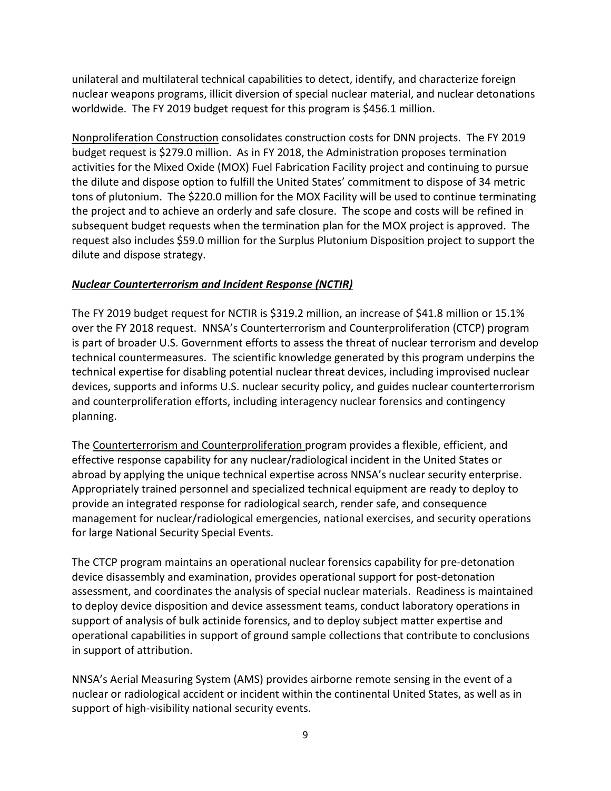unilateral and multilateral technical capabilities to detect, identify, and characterize foreign nuclear weapons programs, illicit diversion of special nuclear material, and nuclear detonations worldwide. The FY 2019 budget request for this program is \$456.1 million.

Nonproliferation Construction consolidates construction costs for DNN projects. The FY 2019 budget request is \$279.0 million. As in FY 2018, the Administration proposes termination activities for the Mixed Oxide (MOX) Fuel Fabrication Facility project and continuing to pursue the dilute and dispose option to fulfill the United States' commitment to dispose of 34 metric tons of plutonium. The \$220.0 million for the MOX Facility will be used to continue terminating the project and to achieve an orderly and safe closure. The scope and costs will be refined in subsequent budget requests when the termination plan for the MOX project is approved. The request also includes \$59.0 million for the Surplus Plutonium Disposition project to support the dilute and dispose strategy.

## *Nuclear Counterterrorism and Incident Response (NCTIR)*

The FY 2019 budget request for NCTIR is \$319.2 million, an increase of \$41.8 million or 15.1% over the FY 2018 request. NNSA's Counterterrorism and Counterproliferation (CTCP) program is part of broader U.S. Government efforts to assess the threat of nuclear terrorism and develop technical countermeasures. The scientific knowledge generated by this program underpins the technical expertise for disabling potential nuclear threat devices, including improvised nuclear devices, supports and informs U.S. nuclear security policy, and guides nuclear counterterrorism and counterproliferation efforts, including interagency nuclear forensics and contingency planning.

The Counterterrorism and Counterproliferation program provides a flexible, efficient, and effective response capability for any nuclear/radiological incident in the United States or abroad by applying the unique technical expertise across NNSA's nuclear security enterprise. Appropriately trained personnel and specialized technical equipment are ready to deploy to provide an integrated response for radiological search, render safe, and consequence management for nuclear/radiological emergencies, national exercises, and security operations for large National Security Special Events.

The CTCP program maintains an operational nuclear forensics capability for pre-detonation device disassembly and examination, provides operational support for post-detonation assessment, and coordinates the analysis of special nuclear materials. Readiness is maintained to deploy device disposition and device assessment teams, conduct laboratory operations in support of analysis of bulk actinide forensics, and to deploy subject matter expertise and operational capabilities in support of ground sample collections that contribute to conclusions in support of attribution.

NNSA's Aerial Measuring System (AMS) provides airborne remote sensing in the event of a nuclear or radiological accident or incident within the continental United States, as well as in support of high-visibility national security events.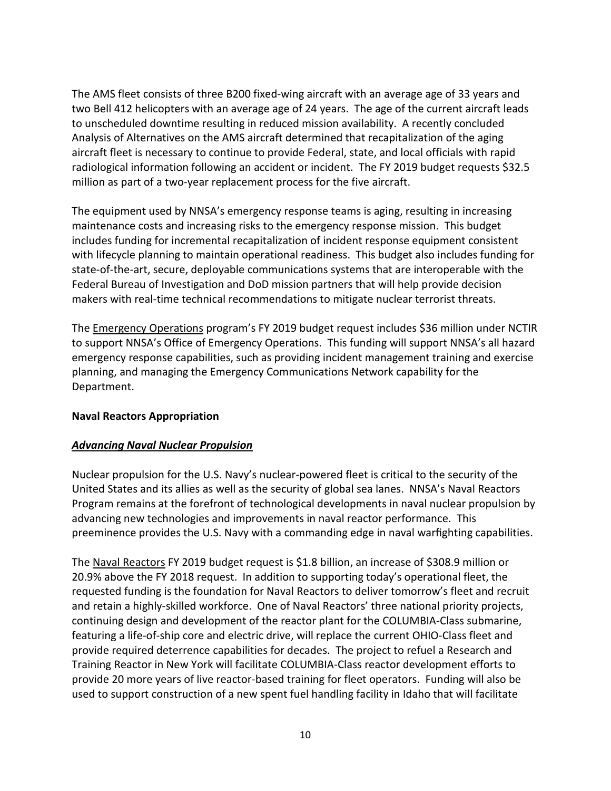The AMS fleet consists of three B200 fixed-wing aircraft with an average age of 33 years and two Bell 412 helicopters with an average age of 24 years. The age of the current aircraft leads to unscheduled downtime resulting in reduced mission availability. A recently concluded Analysis of Alternatives on the AMS aircraft determined that recapitalization of the aging aircraft fleet is necessary to continue to provide Federal, state, and local officials with rapid radiological information following an accident or incident. The FY 2019 budget requests \$32.5 million as part of a two-year replacement process for the five aircraft.

The equipment used by NNSA's emergency response teams is aging, resulting in increasing maintenance costs and increasing risks to the emergency response mission. This budget includes funding for incremental recapitalization of incident response equipment consistent with lifecycle planning to maintain operational readiness. This budget also includes funding for state-of-the-art, secure, deployable communications systems that are interoperable with the Federal Bureau of Investigation and DoD mission partners that will help provide decision makers with real-time technical recommendations to mitigate nuclear terrorist threats.

The Emergency Operations program's FY 2019 budget request includes \$36 million under NCTIR to support NNSA's Office of Emergency Operations. This funding will support NNSA's all hazard emergency response capabilities, such as providing incident management training and exercise planning, and managing the Emergency Communications Network capability for the Department.

## **Naval Reactors Appropriation**

#### *Advancing Naval Nuclear Propulsion*

Nuclear propulsion for the U.S. Navy's nuclear-powered fleet is critical to the security of the United States and its allies as well as the security of global sea lanes. NNSA's Naval Reactors Program remains at the forefront of technological developments in naval nuclear propulsion by advancing new technologies and improvements in naval reactor performance. This preeminence provides the U.S. Navy with a commanding edge in naval warfighting capabilities.

The Naval Reactors FY 2019 budget request is \$1.8 billion, an increase of \$308.9 million or 20.9% above the FY 2018 request. In addition to supporting today's operational fleet, the requested funding is the foundation for Naval Reactors to deliver tomorrow's fleet and recruit and retain a highly-skilled workforce. One of Naval Reactors' three national priority projects, continuing design and development of the reactor plant for the COLUMBIA-Class submarine, featuring a life-of-ship core and electric drive, will replace the current OHIO-Class fleet and provide required deterrence capabilities for decades. The project to refuel a Research and Training Reactor in New York will facilitate COLUMBIA-Class reactor development efforts to provide 20 more years of live reactor-based training for fleet operators. Funding will also be used to support construction of a new spent fuel handling facility in Idaho that will facilitate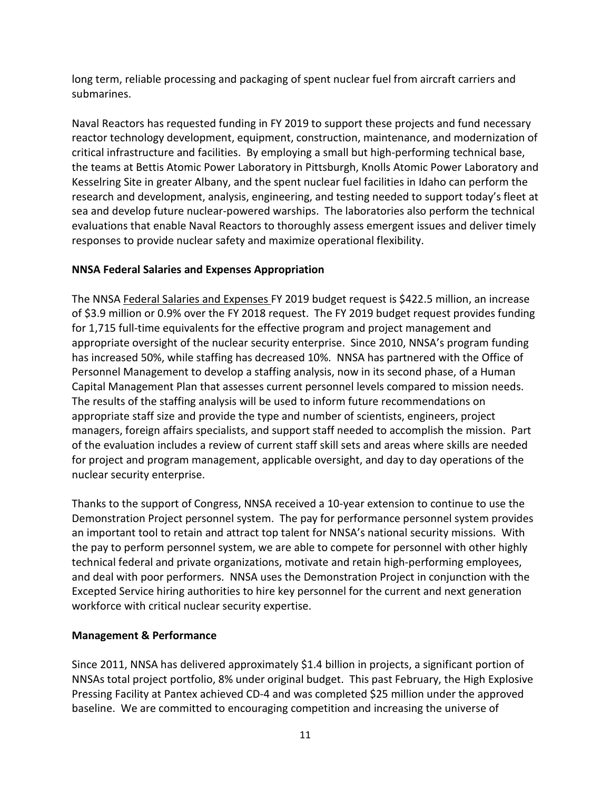long term, reliable processing and packaging of spent nuclear fuel from aircraft carriers and submarines.

Naval Reactors has requested funding in FY 2019 to support these projects and fund necessary reactor technology development, equipment, construction, maintenance, and modernization of critical infrastructure and facilities. By employing a small but high-performing technical base, the teams at Bettis Atomic Power Laboratory in Pittsburgh, Knolls Atomic Power Laboratory and Kesselring Site in greater Albany, and the spent nuclear fuel facilities in Idaho can perform the research and development, analysis, engineering, and testing needed to support today's fleet at sea and develop future nuclear-powered warships. The laboratories also perform the technical evaluations that enable Naval Reactors to thoroughly assess emergent issues and deliver timely responses to provide nuclear safety and maximize operational flexibility.

# **NNSA Federal Salaries and Expenses Appropriation**

The NNSA Federal Salaries and Expenses FY 2019 budget request is \$422.5 million, an increase of \$3.9 million or 0.9% over the FY 2018 request. The FY 2019 budget request provides funding for 1,715 full-time equivalents for the effective program and project management and appropriate oversight of the nuclear security enterprise. Since 2010, NNSA's program funding has increased 50%, while staffing has decreased 10%. NNSA has partnered with the Office of Personnel Management to develop a staffing analysis, now in its second phase, of a Human Capital Management Plan that assesses current personnel levels compared to mission needs. The results of the staffing analysis will be used to inform future recommendations on appropriate staff size and provide the type and number of scientists, engineers, project managers, foreign affairs specialists, and support staff needed to accomplish the mission. Part of the evaluation includes a review of current staff skill sets and areas where skills are needed for project and program management, applicable oversight, and day to day operations of the nuclear security enterprise.

Thanks to the support of Congress, NNSA received a 10-year extension to continue to use the Demonstration Project personnel system. The pay for performance personnel system provides an important tool to retain and attract top talent for NNSA's national security missions. With the pay to perform personnel system, we are able to compete for personnel with other highly technical federal and private organizations, motivate and retain high-performing employees, and deal with poor performers. NNSA uses the Demonstration Project in conjunction with the Excepted Service hiring authorities to hire key personnel for the current and next generation workforce with critical nuclear security expertise.

## **Management & Performance**

Since 2011, NNSA has delivered approximately \$1.4 billion in projects, a significant portion of NNSAs total project portfolio, 8% under original budget. This past February, the High Explosive Pressing Facility at Pantex achieved CD-4 and was completed \$25 million under the approved baseline. We are committed to encouraging competition and increasing the universe of